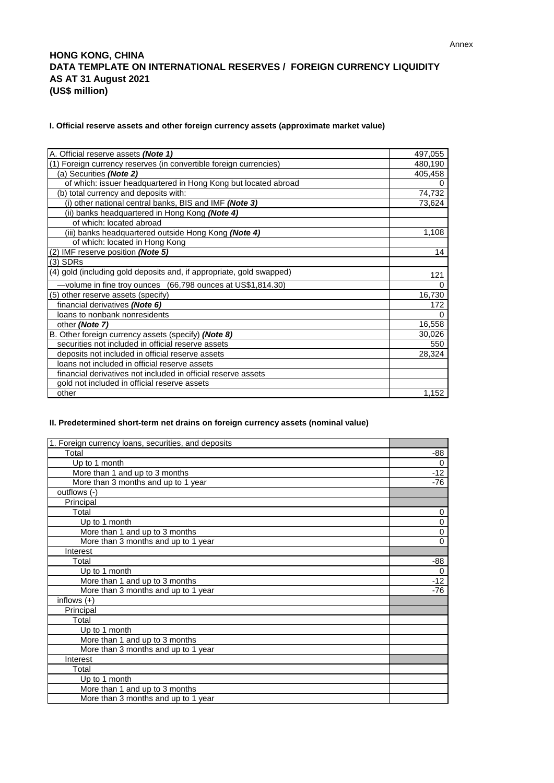## **HONG KONG, CHINA DATA TEMPLATE ON INTERNATIONAL RESERVES / FOREIGN CURRENCY LIQUIDITY AS AT 31 August 2021 (US\$ million)**

## **I. Official reserve assets and other foreign currency assets (approximate market value)**

| A. Official reserve assets (Note 1)                                  | 497,055  |
|----------------------------------------------------------------------|----------|
| (1) Foreign currency reserves (in convertible foreign currencies)    | 480,190  |
| (a) Securities (Note 2)                                              | 405,458  |
| of which: issuer headquartered in Hong Kong but located abroad       | 0        |
| (b) total currency and deposits with:                                | 74,732   |
| (i) other national central banks, BIS and IMF (Note 3)               | 73,624   |
| (ii) banks headquartered in Hong Kong (Note 4)                       |          |
| of which: located abroad                                             |          |
| (iii) banks headquartered outside Hong Kong (Note 4)                 | 1,108    |
| of which: located in Hong Kong                                       |          |
| (2) IMF reserve position (Note 5)                                    | 14       |
| $(3)$ SDRs                                                           |          |
| (4) gold (including gold deposits and, if appropriate, gold swapped) | 121      |
| -volume in fine troy ounces (66,798 ounces at US\$1,814.30)          | 0        |
| (5) other reserve assets (specify)                                   | 16,730   |
| financial derivatives (Note 6)                                       | 172      |
| loans to nonbank nonresidents                                        | $\Omega$ |
| other (Note 7)                                                       | 16,558   |
| B. Other foreign currency assets (specify) (Note 8)                  | 30,026   |
| securities not included in official reserve assets                   | 550      |
| deposits not included in official reserve assets                     | 28,324   |
| loans not included in official reserve assets                        |          |
| financial derivatives not included in official reserve assets        |          |
| gold not included in official reserve assets                         |          |
| other                                                                | 1,152    |

## **II. Predetermined short-term net drains on foreign currency assets (nominal value)**

| 1. Foreign currency loans, securities, and deposits |          |
|-----------------------------------------------------|----------|
| Total                                               | -88      |
| Up to 1 month                                       | 0        |
| More than 1 and up to 3 months                      | $-12$    |
| More than 3 months and up to 1 year                 | -76      |
| outflows (-)                                        |          |
| Principal                                           |          |
| Total                                               | 0        |
| Up to 1 month                                       | 0        |
| More than 1 and up to 3 months                      | 0        |
| More than 3 months and up to 1 year                 | 0        |
| Interest                                            |          |
| Total                                               | -88      |
| Up to 1 month                                       | $\Omega$ |
| More than 1 and up to 3 months                      | $-12$    |
| More than 3 months and up to 1 year                 | -76      |
| inflows $(+)$                                       |          |
| Principal                                           |          |
| Total                                               |          |
| Up to 1 month                                       |          |
| More than 1 and up to 3 months                      |          |
| More than 3 months and up to 1 year                 |          |
| Interest                                            |          |
| Total                                               |          |
| Up to 1 month                                       |          |
| More than 1 and up to 3 months                      |          |
| More than 3 months and up to 1 year                 |          |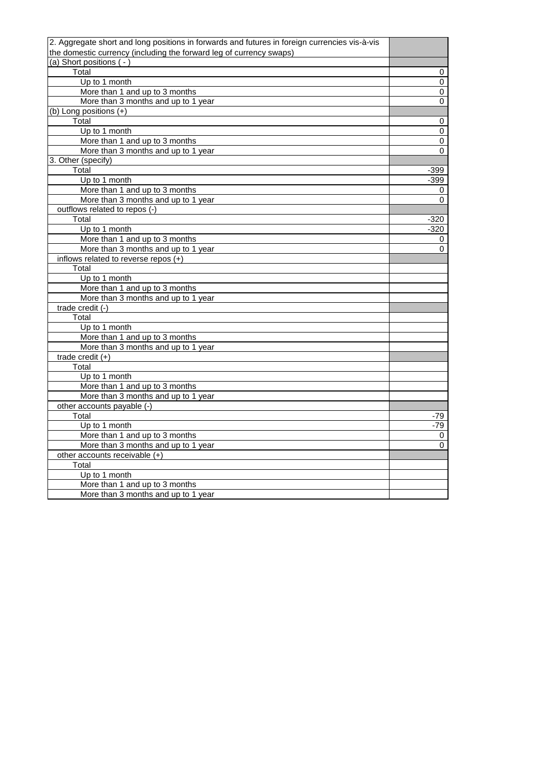| 2. Aggregate short and long positions in forwards and futures in foreign currencies vis-à-vis |        |
|-----------------------------------------------------------------------------------------------|--------|
| the domestic currency (including the forward leg of currency swaps)                           |        |
| (a) Short positions (-)                                                                       |        |
| Total                                                                                         | 0      |
| Up to 1 month                                                                                 | 0      |
| More than 1 and up to 3 months                                                                | 0      |
| More than 3 months and up to 1 year                                                           | 0      |
| (b) Long positions (+)                                                                        |        |
| Total                                                                                         | 0      |
| Up to 1 month                                                                                 | 0      |
| More than 1 and up to 3 months                                                                | 0      |
| More than 3 months and up to 1 year                                                           | 0      |
| 3. Other (specify)                                                                            |        |
| Total                                                                                         | -399   |
| Up to 1 month                                                                                 | $-399$ |
| More than 1 and up to 3 months                                                                | 0      |
| More than 3 months and up to 1 year                                                           | 0      |
| outflows related to repos (-)                                                                 |        |
| Total                                                                                         | -320   |
| Up to 1 month                                                                                 | -320   |
| More than 1 and up to 3 months                                                                | 0      |
| More than 3 months and up to 1 year                                                           | 0      |
| inflows related to reverse repos (+)                                                          |        |
| Total                                                                                         |        |
| Up to 1 month                                                                                 |        |
| More than 1 and up to 3 months                                                                |        |
| More than 3 months and up to 1 year                                                           |        |
| trade credit $\overline{(-)}$                                                                 |        |
| Total                                                                                         |        |
| Up to 1 month                                                                                 |        |
| More than 1 and up to 3 months                                                                |        |
| More than 3 months and up to 1 year                                                           |        |
| trade credit $(+)$                                                                            |        |
| Total                                                                                         |        |
| Up to 1 month                                                                                 |        |
| More than 1 and up to 3 months                                                                |        |
| More than 3 months and up to 1 year                                                           |        |
| other accounts payable (-)                                                                    |        |
| Total                                                                                         | -79    |
| Up to 1 month                                                                                 | $-79$  |
| More than 1 and up to 3 months                                                                | 0      |
| More than 3 months and up to 1 year                                                           | 0      |
| other accounts receivable (+)                                                                 |        |
| Total                                                                                         |        |
| Up to 1 month                                                                                 |        |
| More than 1 and up to 3 months                                                                |        |
| More than 3 months and up to 1 year                                                           |        |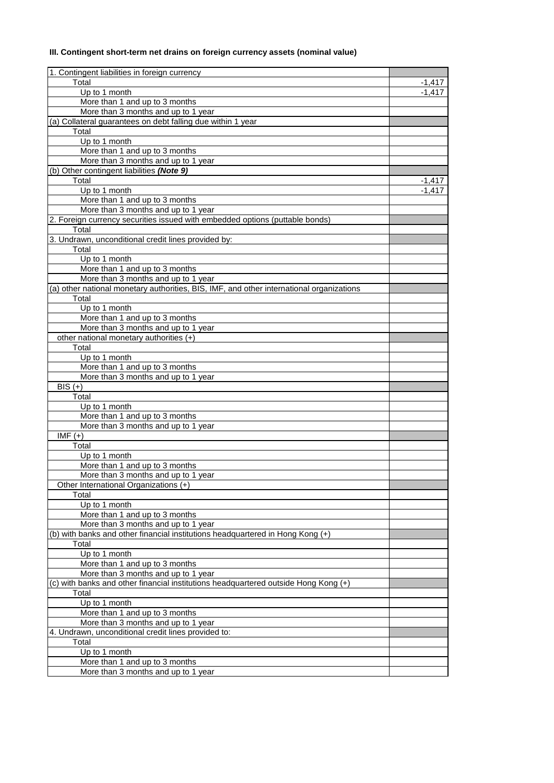# **III. Contingent short-term net drains on foreign currency assets (nominal value)**

| 1. Contingent liabilities in foreign currency                                            |          |
|------------------------------------------------------------------------------------------|----------|
| Total                                                                                    | -1,417   |
| Up to 1 month                                                                            | $-1.417$ |
| More than 1 and up to 3 months                                                           |          |
| More than 3 months and up to 1 year                                                      |          |
| (a) Collateral guarantees on debt falling due within 1 year                              |          |
| Total                                                                                    |          |
| Up to 1 month                                                                            |          |
| More than 1 and up to 3 months                                                           |          |
| More than 3 months and up to 1 year                                                      |          |
| (b) Other contingent liabilities (Note 9)                                                |          |
| Total                                                                                    | $-1,417$ |
| Up to 1 month                                                                            | $-1.417$ |
| More than 1 and up to 3 months                                                           |          |
| More than 3 months and up to 1 year                                                      |          |
| 2. Foreign currency securities issued with embedded options (puttable bonds)             |          |
| Total                                                                                    |          |
| 3. Undrawn, unconditional credit lines provided by:                                      |          |
| Total                                                                                    |          |
| Up to 1 month                                                                            |          |
|                                                                                          |          |
| More than 1 and up to 3 months                                                           |          |
| More than 3 months and up to 1 year                                                      |          |
| (a) other national monetary authorities, BIS, IMF, and other international organizations |          |
| Total                                                                                    |          |
| Up to 1 month                                                                            |          |
| More than 1 and up to 3 months                                                           |          |
| More than 3 months and up to 1 year                                                      |          |
| other national monetary authorities (+)                                                  |          |
| Total                                                                                    |          |
| Up to 1 month                                                                            |          |
| More than 1 and up to 3 months                                                           |          |
| More than 3 months and up to 1 year                                                      |          |
| BIS $\overline{(+)}$                                                                     |          |
| Total                                                                                    |          |
| Up to 1 month                                                                            |          |
| More than 1 and up to 3 months                                                           |          |
| More than 3 months and up to 1 year                                                      |          |
| $IMF (+)$                                                                                |          |
| Total                                                                                    |          |
| Up to 1 month                                                                            |          |
| More than 1 and up to 3 months                                                           |          |
|                                                                                          |          |
| More than 3 months and up to 1 year                                                      |          |
| Other International Organizations (+)                                                    |          |
| Total                                                                                    |          |
| Up to 1 month                                                                            |          |
| More than 1 and up to 3 months                                                           |          |
| More than 3 months and up to 1 year                                                      |          |
| (b) with banks and other financial institutions headquartered in Hong Kong (+)           |          |
| Total                                                                                    |          |
| Up to 1 month                                                                            |          |
| More than 1 and up to 3 months                                                           |          |
| More than 3 months and up to 1 year                                                      |          |
| (c) with banks and other financial institutions headquartered outside Hong Kong (+)      |          |
| Total                                                                                    |          |
| Up to 1 month                                                                            |          |
| More than 1 and up to 3 months                                                           |          |
| More than 3 months and up to 1 year                                                      |          |
| 4. Undrawn, unconditional credit lines provided to:                                      |          |
| Total                                                                                    |          |
| Up to 1 month                                                                            |          |
| More than 1 and up to 3 months                                                           |          |
| More than 3 months and up to 1 year                                                      |          |
|                                                                                          |          |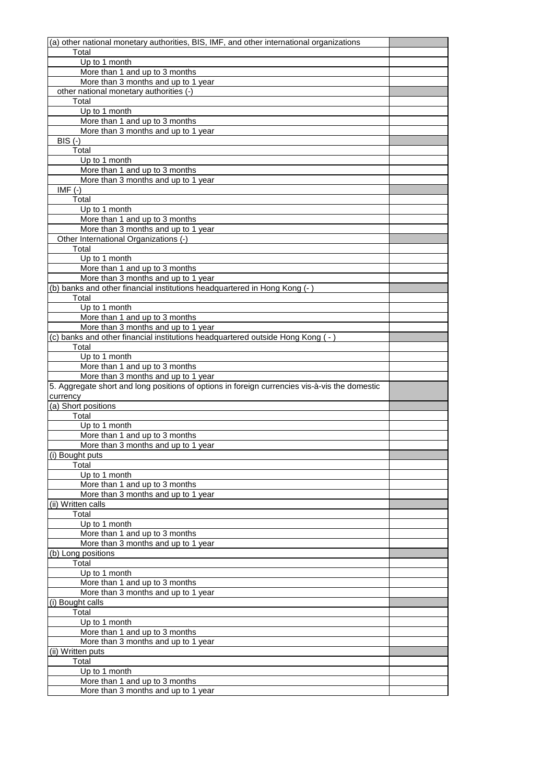| (a) other national monetary authorities, BIS, IMF, and other international organizations      |  |
|-----------------------------------------------------------------------------------------------|--|
| Total                                                                                         |  |
| Up to 1 month                                                                                 |  |
| More than 1 and up to 3 months                                                                |  |
| More than 3 months and up to 1 year                                                           |  |
| other national monetary authorities (-)                                                       |  |
| Total                                                                                         |  |
| Up to 1 month                                                                                 |  |
|                                                                                               |  |
| More than 1 and up to 3 months                                                                |  |
| More than 3 months and up to 1 year                                                           |  |
| $BIS$ $(-)$                                                                                   |  |
| Total                                                                                         |  |
| Up to 1 month                                                                                 |  |
| More than 1 and up to 3 months                                                                |  |
| More than 3 months and up to 1 year                                                           |  |
| $IMF(-)$                                                                                      |  |
| Total                                                                                         |  |
| Up to 1 month                                                                                 |  |
| More than 1 and up to 3 months                                                                |  |
|                                                                                               |  |
| More than 3 months and up to 1 year                                                           |  |
| Other International Organizations (-)                                                         |  |
| Total                                                                                         |  |
| Up to 1 month                                                                                 |  |
| More than 1 and up to 3 months                                                                |  |
| More than 3 months and up to 1 year                                                           |  |
| (b) banks and other financial institutions headquartered in Hong Kong (-)                     |  |
| Total                                                                                         |  |
| Up to 1 month                                                                                 |  |
| More than 1 and up to 3 months                                                                |  |
| More than 3 months and up to 1 year                                                           |  |
| (c) banks and other financial institutions headquartered outside Hong Kong (-)                |  |
| Total                                                                                         |  |
|                                                                                               |  |
| Up to 1 month                                                                                 |  |
| More than 1 and up to 3 months                                                                |  |
| More than 3 months and up to 1 year                                                           |  |
| 5. Aggregate short and long positions of options in foreign currencies vis-à-vis the domestic |  |
| currency                                                                                      |  |
| (a) Short positions                                                                           |  |
| Total                                                                                         |  |
| Up to 1 month                                                                                 |  |
| More than 1 and up to 3 months                                                                |  |
| More than 3 months and up to 1 year                                                           |  |
| (i) Bought puts                                                                               |  |
| Total                                                                                         |  |
| Up to 1 month                                                                                 |  |
| More than 1 and up to 3 months                                                                |  |
|                                                                                               |  |
| More than 3 months and up to 1 year                                                           |  |
| (ii) Written calls                                                                            |  |
| Total                                                                                         |  |
| Up to 1 month                                                                                 |  |
| More than 1 and up to 3 months                                                                |  |
| More than 3 months and up to 1 year                                                           |  |
| (b) Long positions                                                                            |  |
| Total                                                                                         |  |
| Up to 1 month                                                                                 |  |
| More than 1 and up to 3 months                                                                |  |
| More than 3 months and up to 1 year                                                           |  |
| (i) Bought calls                                                                              |  |
| Total                                                                                         |  |
|                                                                                               |  |
| Up to 1 month                                                                                 |  |
| More than 1 and up to 3 months                                                                |  |
| More than 3 months and up to 1 year                                                           |  |
| (ii) Written puts                                                                             |  |
| Total                                                                                         |  |
| Up to 1 month                                                                                 |  |
| More than 1 and up to 3 months                                                                |  |
| More than 3 months and up to 1 year                                                           |  |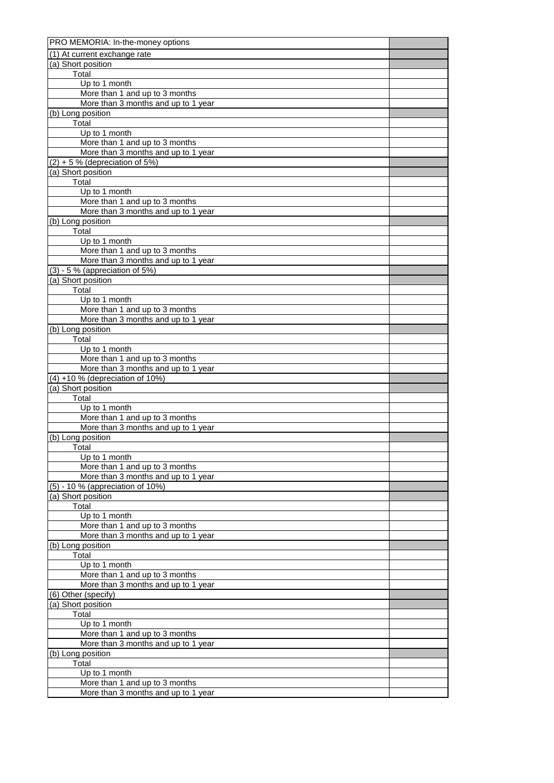| PRO MEMORIA: In-the-money options                                     |  |
|-----------------------------------------------------------------------|--|
| (1) At current exchange rate                                          |  |
| (a) Short position                                                    |  |
| Total                                                                 |  |
| Up to 1 month                                                         |  |
| More than 1 and up to 3 months<br>More than 3 months and up to 1 year |  |
| (b) Long position                                                     |  |
| Total                                                                 |  |
| Up to 1 month                                                         |  |
| More than 1 and up to 3 months                                        |  |
| More than 3 months and up to 1 year                                   |  |
| $(2) + 5$ % (depreciation of 5%)                                      |  |
| (a) Short position                                                    |  |
| Total                                                                 |  |
| Up to 1 month                                                         |  |
| More than 1 and up to 3 months                                        |  |
| More than 3 months and up to 1 year<br>(b) Long position              |  |
| Total                                                                 |  |
| Up to 1 month                                                         |  |
| More than 1 and up to 3 months                                        |  |
| More than 3 months and up to 1 year                                   |  |
| $(3) - 5$ % (appreciation of 5%)                                      |  |
| (a) Short position                                                    |  |
| Total                                                                 |  |
| Up to 1 month                                                         |  |
| More than 1 and up to 3 months<br>More than 3 months and up to 1 year |  |
| (b) Long position                                                     |  |
| Total                                                                 |  |
| Up to 1 month                                                         |  |
| More than 1 and up to 3 months                                        |  |
| More than 3 months and up to 1 year                                   |  |
| $(4) + 10$ % (depreciation of 10%)                                    |  |
| (a) Short position                                                    |  |
| Total                                                                 |  |
| Up to 1 month                                                         |  |
| More than 1 and up to 3 months<br>More than 3 months and up to 1 year |  |
| (b) Long position                                                     |  |
| Total                                                                 |  |
| Up to 1 month                                                         |  |
| More than 1 and up to 3 months                                        |  |
| More than 3 months and up to 1 year                                   |  |
| (5) - 10 % (appreciation of 10%)                                      |  |
| (a) Short position                                                    |  |
| Total                                                                 |  |
| Up to 1 month<br>More than 1 and up to 3 months                       |  |
| More than 3 months and up to 1 year                                   |  |
| (b) Long position                                                     |  |
| Total                                                                 |  |
| Up to 1 month                                                         |  |
| More than 1 and up to 3 months                                        |  |
| More than 3 months and up to 1 year                                   |  |
| (6) Other (specify)                                                   |  |
| (a) Short position                                                    |  |
| Total                                                                 |  |
| Up to 1 month<br>More than 1 and up to 3 months                       |  |
| More than 3 months and up to 1 year                                   |  |
| (b) Long position                                                     |  |
| Total                                                                 |  |
| Up to 1 month                                                         |  |
| More than 1 and up to 3 months                                        |  |
| More than 3 months and up to 1 year                                   |  |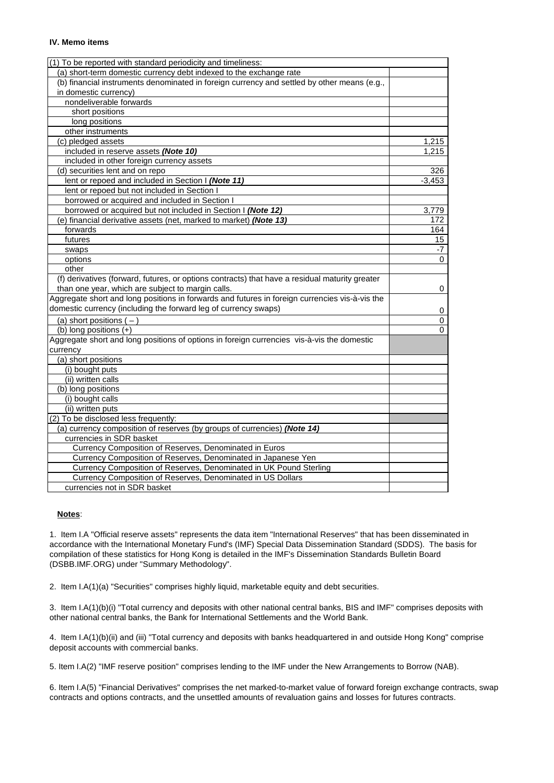#### **IV. Memo items**

| (1) To be reported with standard periodicity and timeliness:                                   |          |
|------------------------------------------------------------------------------------------------|----------|
| (a) short-term domestic currency debt indexed to the exchange rate                             |          |
| (b) financial instruments denominated in foreign currency and settled by other means (e.g.,    |          |
| in domestic currency)                                                                          |          |
| nondeliverable forwards                                                                        |          |
| short positions                                                                                |          |
| long positions                                                                                 |          |
| other instruments                                                                              |          |
| (c) pledged assets                                                                             | 1,215    |
| included in reserve assets (Note 10)                                                           | 1,215    |
| included in other foreign currency assets                                                      |          |
| (d) securities lent and on repo                                                                | 326      |
| lent or repoed and included in Section I (Note 11)                                             | $-3.453$ |
| lent or repoed but not included in Section I                                                   |          |
| borrowed or acquired and included in Section I                                                 |          |
| borrowed or acquired but not included in Section I (Note 12)                                   | 3,779    |
| (e) financial derivative assets (net, marked to market) (Note 13)                              | 172      |
| forwards                                                                                       | 164      |
| futures                                                                                        | 15       |
| swaps                                                                                          | -7       |
| options                                                                                        | $\Omega$ |
| other                                                                                          |          |
| (f) derivatives (forward, futures, or options contracts) that have a residual maturity greater |          |
| than one year, which are subject to margin calls.                                              | 0        |
| Aggregate short and long positions in forwards and futures in foreign currencies vis-à-vis the |          |
| domestic currency (including the forward leg of currency swaps)                                | 0        |
| (a) short positions $(-)$                                                                      | 0        |
| (b) long positions (+)                                                                         | 0        |
| Aggregate short and long positions of options in foreign currencies vis-à-vis the domestic     |          |
| currency                                                                                       |          |
| (a) short positions                                                                            |          |
| (i) bought puts                                                                                |          |
| (ii) written calls                                                                             |          |
| (b) long positions                                                                             |          |
| (i) bought calls                                                                               |          |
| (ii) written puts                                                                              |          |
| (2) To be disclosed less frequently:                                                           |          |
| (a) currency composition of reserves (by groups of currencies) (Note 14)                       |          |
| currencies in SDR basket                                                                       |          |
| Currency Composition of Reserves, Denominated in Euros                                         |          |
| Currency Composition of Reserves, Denominated in Japanese Yen                                  |          |
| Currency Composition of Reserves, Denominated in UK Pound Sterling                             |          |
| Currency Composition of Reserves, Denominated in US Dollars                                    |          |
| currencies not in SDR basket                                                                   |          |

### **Notes**:

1. Item I.A "Official reserve assets" represents the data item "International Reserves" that has been disseminated in accordance with the International Monetary Fund's (IMF) Special Data Dissemination Standard (SDDS). The basis for compilation of these statistics for Hong Kong is detailed in the IMF's Dissemination Standards Bulletin Board (DSBB.IMF.ORG) under "Summary Methodology".

2. Item I.A(1)(a) "Securities" comprises highly liquid, marketable equity and debt securities.

3. Item I.A(1)(b)(i) "Total currency and deposits with other national central banks, BIS and IMF" comprises deposits with other national central banks, the Bank for International Settlements and the World Bank.

4. Item I.A(1)(b)(ii) and (iii) "Total currency and deposits with banks headquartered in and outside Hong Kong" comprise deposit accounts with commercial banks.

5. Item I.A(2) "IMF reserve position" comprises lending to the IMF under the New Arrangements to Borrow (NAB).

6. Item I.A(5) "Financial Derivatives" comprises the net marked-to-market value of forward foreign exchange contracts, swap contracts and options contracts, and the unsettled amounts of revaluation gains and losses for futures contracts.